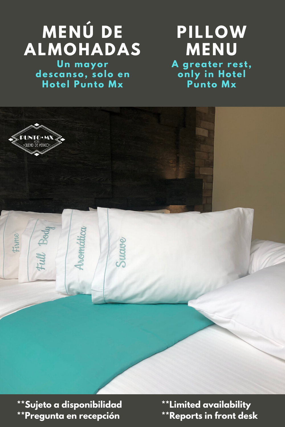# MENÚ DE<br>ALMOHADAS

Un mayor<br>descanso, solo en<br>Hotel Punto Mx

# **PILLOW MENU** A greater rest,<br>only in Hotel<br>Punto Mx



\*\* Sujeto a disponibilidad \*\*Pregunta en recepción

**\*\*Limited availability** \*\* Reports in front desk